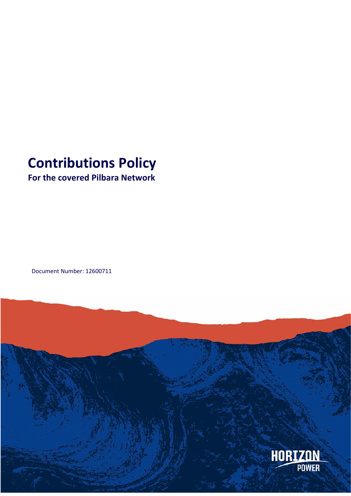# **Contributions Policy**

# **For the covered Pilbara Network**

Document Number: 12600711

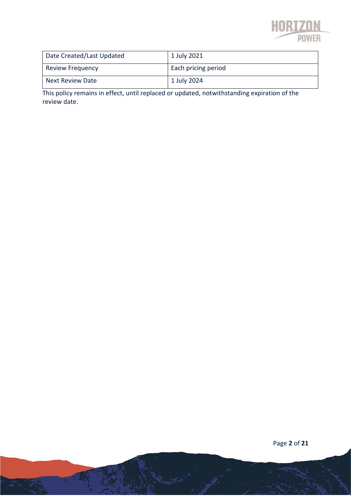

| Date Created/Last Updated | 1 July 2021         |
|---------------------------|---------------------|
| <b>Review Frequency</b>   | Each pricing period |
| Next Review Date          | 1 July 2024         |

This policy remains in effect, until replaced or updated, notwithstanding expiration of the review date.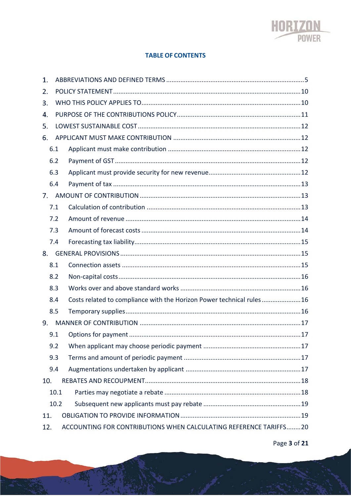

### **TABLE OF CONTENTS**

| 1.  |      |                                                                      |
|-----|------|----------------------------------------------------------------------|
| 2.  |      |                                                                      |
| 3.  |      |                                                                      |
| 4.  |      |                                                                      |
| 5.  |      |                                                                      |
| 6.  |      |                                                                      |
|     | 6.1  |                                                                      |
|     | 6.2  |                                                                      |
|     | 6.3  |                                                                      |
|     | 6.4  |                                                                      |
| 7.  |      |                                                                      |
|     | 7.1  |                                                                      |
|     | 7.2  |                                                                      |
|     | 7.3  |                                                                      |
|     | 7.4  |                                                                      |
| 8.  |      |                                                                      |
|     | 8.1  |                                                                      |
|     | 8.2  |                                                                      |
|     | 8.3  |                                                                      |
|     | 8.4  | Costs related to compliance with the Horizon Power technical rules16 |
|     | 8.5  |                                                                      |
| 9.  |      |                                                                      |
|     | 9.1  |                                                                      |
|     | 9.2  |                                                                      |
|     | 9.3  |                                                                      |
|     | 9.4  |                                                                      |
| 10. |      |                                                                      |
|     | 10.1 |                                                                      |
|     | 10.2 |                                                                      |
| 11. |      |                                                                      |
| 12. |      | ACCOUNTING FOR CONTRIBUTIONS WHEN CALCULATING REFERENCE TARIFFS20    |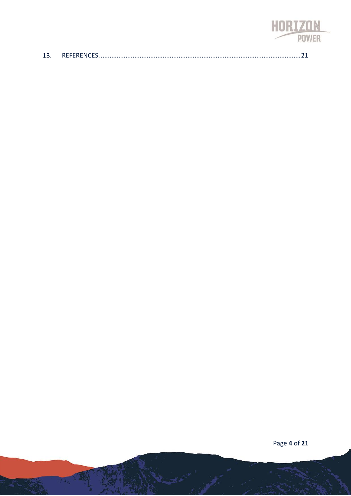

|  | DEFEDENICEC |  |  |
|--|-------------|--|--|
|--|-------------|--|--|

Page 4 of 21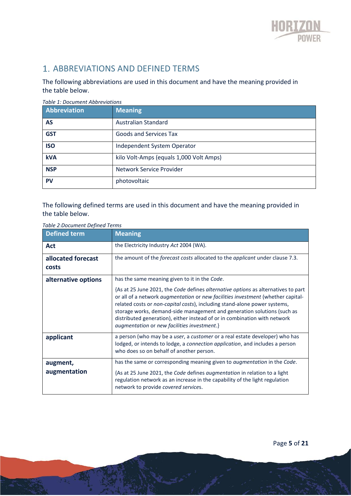

## 1. ABBREVIATIONS AND DEFINED TERMS

The following abbreviations are used in this document and have the meaning provided in the table below.

| Abbreviation | <b>Meaning</b>                          |
|--------------|-----------------------------------------|
| <b>AS</b>    | <b>Australian Standard</b>              |
| <b>GST</b>   | <b>Goods and Services Tax</b>           |
| <b>ISO</b>   | Independent System Operator             |
| <b>kVA</b>   | kilo Volt-Amps (equals 1,000 Volt Amps) |
| <b>NSP</b>   | Network Service Provider                |
| <b>PV</b>    | photovoltaic                            |

### *Table 1: Document Abbreviations*

The following defined terms are used in this document and have the meaning provided in the table below.

| <b>Defined term</b>         | <b>Meaning</b>                                                                                                                                                                                                                                                                                                                                                                                                                                                         |  |
|-----------------------------|------------------------------------------------------------------------------------------------------------------------------------------------------------------------------------------------------------------------------------------------------------------------------------------------------------------------------------------------------------------------------------------------------------------------------------------------------------------------|--|
| Act                         | the Electricity Industry Act 2004 (WA).                                                                                                                                                                                                                                                                                                                                                                                                                                |  |
| allocated forecast<br>costs | the amount of the <i>forecast costs</i> allocated to the <i>applicant</i> under clause 7.3.                                                                                                                                                                                                                                                                                                                                                                            |  |
| alternative options         | has the same meaning given to it in the Code.                                                                                                                                                                                                                                                                                                                                                                                                                          |  |
|                             | {As at 25 June 2021, the Code defines alternative options as alternatives to part<br>or all of a network <i>augmentation</i> or <i>new facilities investment</i> (whether capital-<br>related costs or non-capital costs), including stand-alone power systems,<br>storage works, demand-side management and generation solutions (such as<br>distributed generation), either instead of or in combination with network<br>augmentation or new facilities investment.} |  |
| applicant                   | a person (who may be a <i>user</i> , a <i>customer</i> or a real estate developer) who has<br>lodged, or intends to lodge, a connection application, and includes a person<br>who does so on behalf of another person.                                                                                                                                                                                                                                                 |  |
| augment,                    | has the same or corresponding meaning given to <i>augmentation</i> in the Code.                                                                                                                                                                                                                                                                                                                                                                                        |  |
| augmentation                | {As at 25 June 2021, the Code defines augmentation in relation to a light<br>regulation network as an increase in the capability of the light regulation<br>network to provide covered services.                                                                                                                                                                                                                                                                       |  |

### *Table 2:Document Defined Terms*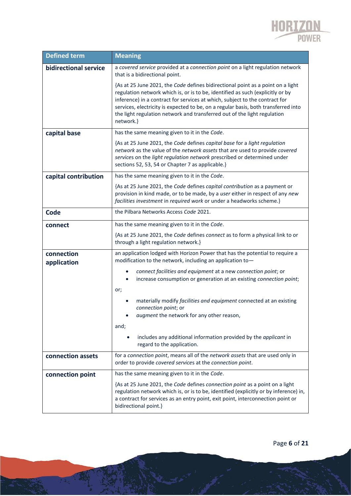

| <b>Defined term</b>       | <b>Meaning</b>                                                                                                                                                                                                                                                                                                                                                                                                                  |  |
|---------------------------|---------------------------------------------------------------------------------------------------------------------------------------------------------------------------------------------------------------------------------------------------------------------------------------------------------------------------------------------------------------------------------------------------------------------------------|--|
| bidirectional service     | a covered service provided at a connection point on a light regulation network<br>that is a bidirectional point.                                                                                                                                                                                                                                                                                                                |  |
|                           | {As at 25 June 2021, the Code defines bidirectional point as a point on a light<br>regulation network which is, or is to be, identified as such (explicitly or by<br>inference) in a contract for services at which, subject to the contract for<br>services, electricity is expected to be, on a regular basis, both transferred into<br>the light regulation network and transferred out of the light regulation<br>network.} |  |
| capital base              | has the same meaning given to it in the Code.                                                                                                                                                                                                                                                                                                                                                                                   |  |
|                           | {As at 25 June 2021, the Code defines capital base for a light regulation<br>network as the value of the network assets that are used to provide covered<br>services on the light regulation network prescribed or determined under<br>sections 52, 53, 54 or Chapter 7 as applicable.}                                                                                                                                         |  |
| capital contribution      | has the same meaning given to it in the Code.                                                                                                                                                                                                                                                                                                                                                                                   |  |
|                           | {As at 25 June 2021, the Code defines capital contribution as a payment or<br>provision in kind made, or to be made, by a user either in respect of any new<br>facilities investment in required work or under a headworks scheme.}                                                                                                                                                                                             |  |
| Code                      | the Pilbara Networks Access Code 2021.                                                                                                                                                                                                                                                                                                                                                                                          |  |
| connect                   | has the same meaning given to it in the Code.                                                                                                                                                                                                                                                                                                                                                                                   |  |
|                           | {As at 25 June 2021, the Code defines connect as to form a physical link to or<br>through a light regulation network.}                                                                                                                                                                                                                                                                                                          |  |
| connection<br>application | an application lodged with Horizon Power that has the potential to require a<br>modification to the network, including an application to-                                                                                                                                                                                                                                                                                       |  |
|                           | connect facilities and equipment at a new connection point; or<br>increase consumption or generation at an existing connection point;<br>or;                                                                                                                                                                                                                                                                                    |  |
|                           | materially modify facilities and equipment connected at an existing<br>connection point; or<br>augment the network for any other reason,                                                                                                                                                                                                                                                                                        |  |
|                           | and;<br>includes any additional information provided by the applicant in<br>regard to the application.                                                                                                                                                                                                                                                                                                                          |  |
| connection assets         | for a connection point, means all of the network assets that are used only in<br>order to provide covered services at the connection point.                                                                                                                                                                                                                                                                                     |  |
| connection point          | has the same meaning given to it in the Code.                                                                                                                                                                                                                                                                                                                                                                                   |  |
|                           | {As at 25 June 2021, the Code defines connection point as a point on a light<br>regulation network which is, or is to be, identified (explicitly or by inference) in,<br>a contract for services as an entry point, exit point, interconnection point or<br>bidirectional point.}                                                                                                                                               |  |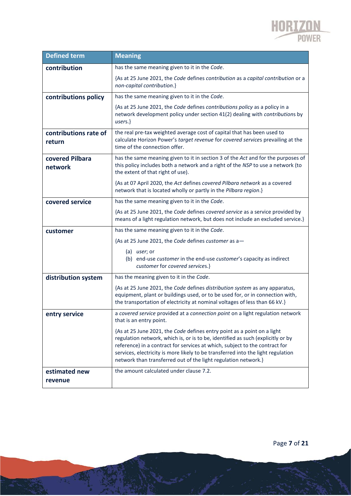

| <b>Defined term</b>             | <b>Meaning</b>                                                                                                                                                                                                                                                                                                                                                                                  |  |
|---------------------------------|-------------------------------------------------------------------------------------------------------------------------------------------------------------------------------------------------------------------------------------------------------------------------------------------------------------------------------------------------------------------------------------------------|--|
| contribution                    | has the same meaning given to it in the Code.                                                                                                                                                                                                                                                                                                                                                   |  |
|                                 | {As at 25 June 2021, the Code defines contribution as a capital contribution or a<br>non-capital contribution.}                                                                                                                                                                                                                                                                                 |  |
| contributions policy            | has the same meaning given to it in the Code.                                                                                                                                                                                                                                                                                                                                                   |  |
|                                 | {As at 25 June 2021, the Code defines contributions policy as a policy in a<br>network development policy under section 41(2) dealing with contributions by<br>users.                                                                                                                                                                                                                           |  |
| contributions rate of<br>return | the real pre-tax weighted average cost of capital that has been used to<br>calculate Horizon Power's target revenue for covered services prevailing at the<br>time of the connection offer.                                                                                                                                                                                                     |  |
| covered Pilbara<br>network      | has the same meaning given to it in section 3 of the Act and for the purposes of<br>this policy includes both a network and a right of the NSP to use a network (to<br>the extent of that right of use).                                                                                                                                                                                        |  |
|                                 | {As at 07 April 2020, the Act defines covered Pilbara network as a covered<br>network that is located wholly or partly in the Pilbara region.}                                                                                                                                                                                                                                                  |  |
| covered service                 | has the same meaning given to it in the Code.                                                                                                                                                                                                                                                                                                                                                   |  |
|                                 | {As at 25 June 2021, the Code defines covered service as a service provided by<br>means of a light regulation network, but does not include an excluded service.}                                                                                                                                                                                                                               |  |
| customer                        | has the same meaning given to it in the Code.                                                                                                                                                                                                                                                                                                                                                   |  |
|                                 | {As at 25 June 2021, the Code defines customer as a-                                                                                                                                                                                                                                                                                                                                            |  |
|                                 | $(a)$ <i>user</i> ; or<br>(b) end-use customer in the end-use customer's capacity as indirect<br>customer for covered services.}                                                                                                                                                                                                                                                                |  |
| distribution system             | has the meaning given to it in the Code.                                                                                                                                                                                                                                                                                                                                                        |  |
|                                 | {As at 25 June 2021, the Code defines distribution system as any apparatus,<br>equipment, plant or buildings used, or to be used for, or in connection with,<br>the transportation of electricity at nominal voltages of less than 66 kV.}                                                                                                                                                      |  |
| entry service                   | a covered service provided at a connection point on a light regulation network<br>that is an entry point.                                                                                                                                                                                                                                                                                       |  |
|                                 | {As at 25 June 2021, the Code defines entry point as a point on a light<br>regulation network, which is, or is to be, identified as such (explicitly or by<br>reference) in a contract for services at which, subject to the contract for<br>services, electricity is more likely to be transferred into the light regulation<br>network than transferred out of the light regulation network.} |  |
| estimated new                   | the amount calculated under clause 7.2.                                                                                                                                                                                                                                                                                                                                                         |  |
| revenue                         |                                                                                                                                                                                                                                                                                                                                                                                                 |  |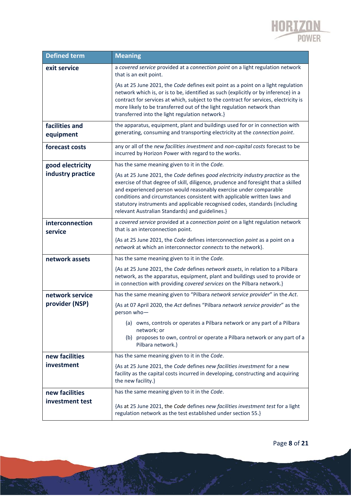

| <b>Defined term</b>         | <b>Meaning</b>                                                                                                                                                                                                                                                                                                                                                                                                                                           |  |
|-----------------------------|----------------------------------------------------------------------------------------------------------------------------------------------------------------------------------------------------------------------------------------------------------------------------------------------------------------------------------------------------------------------------------------------------------------------------------------------------------|--|
| exit service                | a covered service provided at a connection point on a light regulation network<br>that is an exit point.                                                                                                                                                                                                                                                                                                                                                 |  |
|                             | {As at 25 June 2021, the Code defines exit point as a point on a light regulation<br>network which is, or is to be, identified as such (explicitly or by inference) in a<br>contract for services at which, subject to the contract for services, electricity is<br>more likely to be transferred out of the light regulation network than<br>transferred into the light regulation network.}                                                            |  |
| facilities and<br>equipment | the apparatus, equipment, plant and buildings used for or in connection with<br>generating, consuming and transporting electricity at the connection point.                                                                                                                                                                                                                                                                                              |  |
| forecast costs              | any or all of the new facilities investment and non-capital costs forecast to be<br>incurred by Horizon Power with regard to the works.                                                                                                                                                                                                                                                                                                                  |  |
| good electricity            | has the same meaning given to it in the Code.                                                                                                                                                                                                                                                                                                                                                                                                            |  |
| industry practice           | {As at 25 June 2021, the Code defines good electricity industry practice as the<br>exercise of that degree of skill, diligence, prudence and foresight that a skilled<br>and experienced person would reasonably exercise under comparable<br>conditions and circumstances consistent with applicable written laws and<br>statutory instruments and applicable recognised codes, standards (including<br>relevant Australian Standards) and guidelines.} |  |
| interconnection<br>service  | a covered service provided at a connection point on a light regulation network<br>that is an interconnection point.                                                                                                                                                                                                                                                                                                                                      |  |
|                             | {As at 25 June 2021, the Code defines interconnection point as a point on a<br>network at which an interconnector connects to the network}.                                                                                                                                                                                                                                                                                                              |  |
| network assets              | has the same meaning given to it in the Code.                                                                                                                                                                                                                                                                                                                                                                                                            |  |
|                             | {As at 25 June 2021, the Code defines network assets, in relation to a Pilbara<br>network, as the apparatus, equipment, plant and buildings used to provide or<br>in connection with providing covered services on the Pilbara network.}                                                                                                                                                                                                                 |  |
| network service             | has the same meaning given to "Pilbara network service provider" in the Act.                                                                                                                                                                                                                                                                                                                                                                             |  |
| provider (NSP)              | {As at 07 April 2020, the Act defines "Pilbara network service provider" as the<br>person who-                                                                                                                                                                                                                                                                                                                                                           |  |
|                             | (a) owns, controls or operates a Pilbara network or any part of a Pilbara<br>network; or<br>(b) proposes to own, control or operate a Pilbara network or any part of a<br>Pilbara network.}                                                                                                                                                                                                                                                              |  |
| new facilities              | has the same meaning given to it in the Code.                                                                                                                                                                                                                                                                                                                                                                                                            |  |
| investment                  | {As at 25 June 2021, the Code defines new facilities investment for a new<br>facility as the capital costs incurred in developing, constructing and acquiring<br>the new facility.}                                                                                                                                                                                                                                                                      |  |
| new facilities              | has the same meaning given to it in the Code.                                                                                                                                                                                                                                                                                                                                                                                                            |  |
| investment test             | {As at 25 June 2021, the Code defines new facilities investment test for a light<br>regulation network as the test established under section 55.}                                                                                                                                                                                                                                                                                                        |  |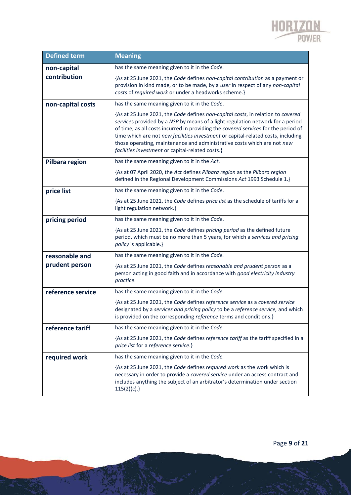

| <b>Defined term</b>                                                   | <b>Meaning</b>                                                                                                                                                                                                                                                                                                                                                                                                                                                             |
|-----------------------------------------------------------------------|----------------------------------------------------------------------------------------------------------------------------------------------------------------------------------------------------------------------------------------------------------------------------------------------------------------------------------------------------------------------------------------------------------------------------------------------------------------------------|
| non-capital                                                           | has the same meaning given to it in the Code.                                                                                                                                                                                                                                                                                                                                                                                                                              |
| contribution                                                          | {As at 25 June 2021, the Code defines non-capital contribution as a payment or<br>provision in kind made, or to be made, by a user in respect of any non-capital<br>costs of required work or under a headworks scheme.}                                                                                                                                                                                                                                                   |
| non-capital costs                                                     | has the same meaning given to it in the Code.                                                                                                                                                                                                                                                                                                                                                                                                                              |
|                                                                       | {As at 25 June 2021, the Code defines non-capital costs, in relation to covered<br>services provided by a NSP by means of a light regulation network for a period<br>of time, as all costs incurred in providing the covered services for the period of<br>time which are not new facilities investment or capital-related costs, including<br>those operating, maintenance and administrative costs which are not new<br>facilities investment or capital-related costs.} |
| has the same meaning given to it in the Act.<br><b>Pilbara region</b> |                                                                                                                                                                                                                                                                                                                                                                                                                                                                            |
|                                                                       | {As at 07 April 2020, the Act defines Pilbara region as the Pilbara region<br>defined in the Regional Development Commissions Act 1993 Schedule 1.}                                                                                                                                                                                                                                                                                                                        |
| price list                                                            | has the same meaning given to it in the Code.                                                                                                                                                                                                                                                                                                                                                                                                                              |
|                                                                       | {As at 25 June 2021, the Code defines price list as the schedule of tariffs for a<br>light regulation network.}                                                                                                                                                                                                                                                                                                                                                            |
| has the same meaning given to it in the Code.<br>pricing period       |                                                                                                                                                                                                                                                                                                                                                                                                                                                                            |
|                                                                       | {As at 25 June 2021, the Code defines pricing period as the defined future<br>period, which must be no more than 5 years, for which a services and pricing<br>policy is applicable.}                                                                                                                                                                                                                                                                                       |
| reasonable and                                                        | has the same meaning given to it in the Code.                                                                                                                                                                                                                                                                                                                                                                                                                              |
| prudent person                                                        | {As at 25 June 2021, the Code defines reasonable and prudent person as a<br>person acting in good faith and in accordance with good electricity industry<br>practice.                                                                                                                                                                                                                                                                                                      |
| reference service                                                     | has the same meaning given to it in the Code.                                                                                                                                                                                                                                                                                                                                                                                                                              |
|                                                                       | {As at 25 June 2021, the Code defines reference service as a covered service<br>designated by a services and pricing policy to be a reference service, and which<br>is provided on the corresponding <i>reference</i> terms and conditions.}                                                                                                                                                                                                                               |
| reference tariff                                                      | has the same meaning given to it in the Code.                                                                                                                                                                                                                                                                                                                                                                                                                              |
|                                                                       | {As at 25 June 2021, the Code defines reference tariff as the tariff specified in a<br>price list for a reference service.}                                                                                                                                                                                                                                                                                                                                                |
| has the same meaning given to it in the Code.<br>required work        |                                                                                                                                                                                                                                                                                                                                                                                                                                                                            |
|                                                                       | {As at 25 June 2021, the Code defines required work as the work which is<br>necessary in order to provide a covered service under an access contract and<br>includes anything the subject of an arbitrator's determination under section<br>115(2)(c).                                                                                                                                                                                                                     |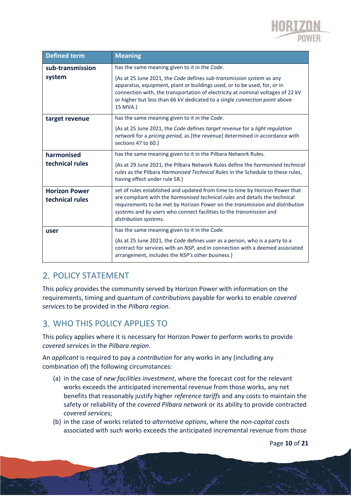

| <b>Defined term</b>                     | <b>Meaning</b>                                                                                                                                                                                                                                                                                                                                            |
|-----------------------------------------|-----------------------------------------------------------------------------------------------------------------------------------------------------------------------------------------------------------------------------------------------------------------------------------------------------------------------------------------------------------|
| sub-transmission                        | has the same meaning given to it in the Code.                                                                                                                                                                                                                                                                                                             |
| system                                  | {As at 25 June 2021, the Code defines sub-transmission system as any<br>apparatus, equipment, plant or buildings used, or to be used, for, or in<br>connection with, the transportation of electricity at nominal voltages of 22 kV<br>or higher but less than 66 kV dedicated to a single connection point above<br>15 MVA.}                             |
| target revenue                          | has the same meaning given to it in the Code.                                                                                                                                                                                                                                                                                                             |
|                                         | {As at 25 June 2021, the Code defines target revenue for a light regulation<br>network for a pricing period, as [the revenue] determined in accordance with<br>sections 47 to 60.}                                                                                                                                                                        |
| harmonised                              | has the same meaning given to it in the Pilbara Network Rules.                                                                                                                                                                                                                                                                                            |
| technical rules                         | {As at 29 June 2021, the Pilbara Network Rules define the <i>harmonised technical</i><br>rules as the Pilbara Harmonised Technical Rules in the Schedule to these rules,<br>having effect under rule 58.}                                                                                                                                                 |
| <b>Horizon Power</b><br>technical rules | set of rules established and updated from time to time by Horizon Power that<br>are compliant with the harmonised technical rules and details the technical<br>requirements to be met by Horizon Power on the <i>transmission</i> and <i>distribution</i><br>systems and by users who connect facilities to the transmission and<br>distribution systems. |
| user                                    | has the same meaning given to it in the Code.                                                                                                                                                                                                                                                                                                             |
|                                         | {As at 25 June 2021, the Code defines user as a person, who is a party to a<br>contract for services with an NSP, and in connection with a deemed associated<br>arrangement, includes the NSP's other business.}                                                                                                                                          |

### 2. POLICY STATEMENT

This policy provides the community served by Horizon Power with information on the requirements, timing and quantum of *contribution*s payable for works to enable *covered service*s to be provided in the *Pilbara region*.

### WHO THIS POLICY APPLIES TO

This policy applies where it is necessary for Horizon Power to perform works to provide *covered service*s in the *Pilbara region*.

An *applicant* is required to pay a *contribution* for any works in any (including any combination of) the following circumstances:

- (a) in the case of *new facilities investment*, where the forecast cost for the relevant works exceeds the anticipated incremental revenue from those works, any net benefits that reasonably justify higher *reference tariffs* and any costs to maintain the safety or reliability of the *covered Pilbara network* or its ability to provide contracted *covered service*s;
- (b) in the case of works related to *alternative options*, where the *non-capital costs* associated with such works exceeds the anticipated incremental revenue from those

Page **10** of **21**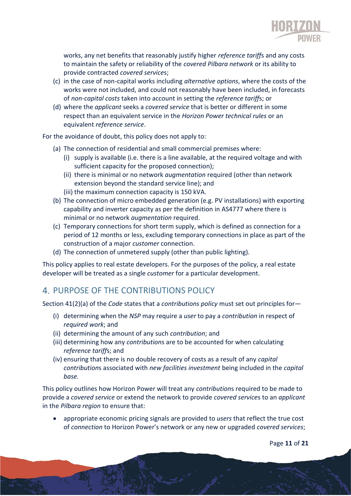

works, any net benefits that reasonably justify higher *reference tariff*s and any costs to maintain the safety or reliability of the *covered Pilbara network* or its ability to provide contracted *covered service*s;

- (c) in the case of non-capital works including *alternative options*, where the costs of the works were not included, and could not reasonably have been included, in forecasts of *non-capital costs* taken into account in setting the *reference tariff*s; or
- (d) where the *applicant* seeks a *covered service* that is better or different in some respect than an equivalent service in the *Horizon Power technical rules* or an equivalent *reference service*.

For the avoidance of doubt, this policy does not apply to:

- (a) The connection of residential and small commercial premises where:
	- (i) supply is available (i.e. there is a line available, at the required voltage and with sufficient capacity for the proposed connection);
	- (ii) there is minimal or no network *augmentation* required (other than network extension beyond the standard service line); and
	- (iii) the maximum connection capacity is 150 kVA.
- (b) The connection of micro embedded generation (e.g. PV installations) with exporting capability and inverter capacity as per the definition in AS4777 where there is minimal or no network *augmentation* required.
- (c) Temporary connections for short term supply, which is defined as connection for a period of 12 months or less, excluding temporary connections in place as part of the construction of a major *customer* connection.
- (d) The connection of unmetered supply (other than public lighting).

This policy applies to real estate developers. For the purposes of the policy, a real estate developer will be treated as a single *customer* for a particular development.

### 4. PURPOSE OF THE CONTRIBUTIONS POLICY

Section 41(2)(a) of the *Code* states that a *contributions policy* must set out principles for―

- (i) determining when the *NSP* may require a *user* to pay a *contribution* in respect of *required work*; and
- (ii) determining the amount of any such *contribution*; and
- (iii) determining how any *contribution*s are to be accounted for when calculating *reference tariff*s; and
- (iv) ensuring that there is no double recovery of costs as a result of any *capital contribution*s associated with *new facilities investment* being included in the *capital base.*

This policy outlines how Horizon Power will treat any *contribution*s required to be made to provide a *covered service* or extend the network to provide *covered service*s to an *applicant* in the *Pilbara region* to ensure that:

• appropriate economic pricing signals are provided to *users* that reflect the true cost of *connection* to Horizon Power's network or any new or upgraded *covered services*;

Page **11** of **21**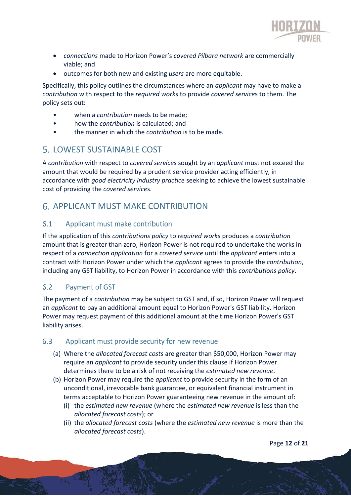

- *connections* made to Horizon Power's *covered Pilbara network* are commercially viable; and
- outcomes for both new and existing *users* are more equitable.

Specifically, this policy outlines the circumstances where an *applicant* may have to make a *contribution* with respect to the *required work*s to provide *covered service*s to them. The policy sets out:

- when a *contribution* needs to be made;
- how the *contribution* is calculated; and
- the manner in which the *contribution* is to be made.

### LOWEST SUSTAINABLE COST

A *contribution* with respect to *covered service*s sought by an *applicant* must not exceed the amount that would be required by a prudent service provider acting efficiently, in accordance with *good electricity industry practice* seeking to achieve the lowest sustainable cost of providing the *covered service*s.

### **6. APPLICANT MUST MAKE CONTRIBUTION**

### $6.1$ Applicant must make contribution

If the application of this *contributions policy* to *required work*s produces a *contribution* amount that is greater than zero, Horizon Power is not required to undertake the works in respect of a *connection application* for a *covered service* until the *applicant* enters into a contract with Horizon Power under which the *applicant* agrees to provide the *contribution*, including any GST liability, to Horizon Power in accordance with this *contributions policy*.

### $6.2$ **Payment of GST**

The payment of a *contribution* may be subject to GST and, if so, Horizon Power will request an *applicant* to pay an additional amount equal to Horizon Power's GST liability. Horizon Power may request payment of this additional amount at the time Horizon Power's GST liability arises.

### Applicant must provide security for new revenue  $6.3$

- (a) Where the *allocated forecast costs* are greater than \$50,000, Horizon Power may require an *applicant* to provide security under this clause if Horizon Power determines there to be a risk of not receiving the *estimated new revenue*.
- (b) Horizon Power may require the *applicant* to provide security in the form of an unconditional, irrevocable bank guarantee, or equivalent financial instrument in terms acceptable to Horizon Power guaranteeing new revenue in the amount of:
	- (i) the *estimated new revenue* (where the *estimated new revenue* is less than the *allocated forecast costs*); or
	- (ii) the *allocated forecast costs* (where the *estimated new revenue* is more than the *allocated forecast costs*).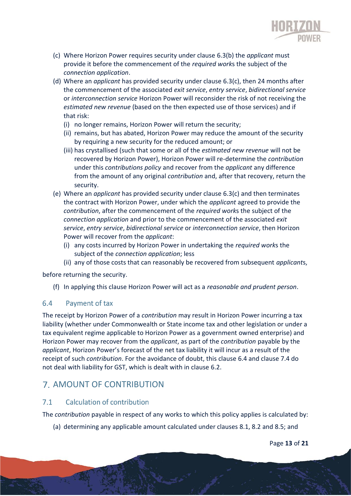

- (c) Where Horizon Power requires security under clause 6.3(b) the *applicant* must provide it before the commencement of the *required work*s the subject of the *connection application*.
- (d) Where an *applicant* has provided security under clause 6.3(c), then 24 months after the commencement of the associated *exit service*, *entry service*, *bidirectional service* or *interconnection service* Horizon Power will reconsider the risk of not receiving the *estimated new revenue* (based on the then expected use of those services) and if that risk:
	- (i) no longer remains, Horizon Power will return the security;
	- (ii) remains, but has abated, Horizon Power may reduce the amount of the security by requiring a new security for the reduced amount; or
	- (iii) has crystallised (such that some or all of the *estimated new revenue* will not be recovered by Horizon Power), Horizon Power will re-determine the *contribution* under this *contributions policy* and recover from the *applicant* any difference from the amount of any original *contribution* and, after that recovery, return the security.
- (e) Where an *applicant* has provided security under clause 6.3(c) and then terminates the contract with Horizon Power, under which the *applicant* agreed to provide the *contribution*, after the commencement of the *required work*s the subject of the *connection application* and prior to the commencement of the associated *exit service*, *entry service*, *bidirectional service* or *interconnection service*, then Horizon Power will recover from the *applicant*:
	- (i) any costs incurred by Horizon Power in undertaking the *required work*s the subject of the *connection application*; less
	- (ii) any of those costs that can reasonably be recovered from subsequent *applicant*s,

before returning the security.

(f) In applying this clause Horizon Power will act as a *reasonable and prudent person*.

#### 6.4 Payment of tax

The receipt by Horizon Power of a *contribution* may result in Horizon Power incurring a tax liability (whether under Commonwealth or State income tax and other legislation or under a tax equivalent regime applicable to Horizon Power as a government owned enterprise) and Horizon Power may recover from the *applicant*, as part of the *contribution* payable by the *applicant*, Horizon Power's forecast of the net tax liability it will incur as a result of the receipt of such *contribution*. For the avoidance of doubt, this clause 6.4 and clause 7.4 do not deal with liability for GST, which is dealt with in clause 6.2.

### 7. AMOUNT OF CONTRIBUTION

### $7.1$ **Calculation of contribution**

The *contribution* payable in respect of any works to which this policy applies is calculated by:

(a) determining any applicable amount calculated under clauses 8.1, 8.2 and 8.5; and

Page **13** of **21**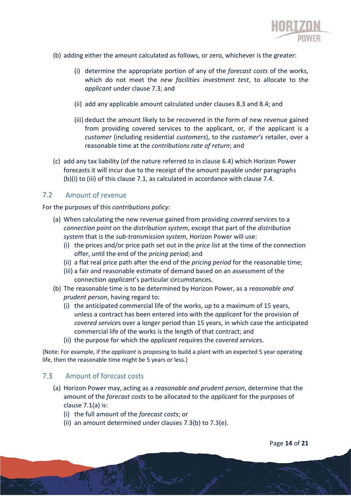

- (b) adding either the amount calculated as follows, or zero, whichever is the greater:
	- (i) determine the appropriate portion of any of the *forecast costs* of the works, which do not meet the *new facilities investment test*, to allocate to the *applicant* under clause 7.3; and
	- (ii) add any applicable amount calculated under clauses 8.3 and 8.4; and
	- (iii) deduct the amount likely to be recovered in the form of new revenue gained from providing covered services to the applicant, or, if the applicant is a *customer* (including residential *customers*), to the *customer's* retailer, over a reasonable time at the *contributions rate of return*; and
- (c) add any tax liability (of the nature referred to in clause 6.4) which Horizon Power forecasts it will incur due to the receipt of the amount payable under paragraphs (b)(i) to (iii) of this clause 7.1, as calculated in accordance with clause 7.4.

#### $7.2$ Amount of revenue

For the purposes of this *contributions policy*:

- (a) When calculating the new revenue gained from providing *covered service*s to a *connection point* on the *distribution system*, except that part of the *distribution system* that is the *sub-transmission system*, Horizon Power will use:
	- (i) the prices and/or price path set out in the *price list* at the time of the connection offer, until the end of the *pricing period*; and
	- (ii) a flat real price path after the end of the *pricing period* for the reasonable time;
	- (iii) a fair and reasonable estimate of demand based on an assessment of the connection *applicant*'s particular circumstances.
- (b) The reasonable time is to be determined by Horizon Power, as a *reasonable and prudent person*, having regard to:
	- (i) the anticipated commercial life of the works, up to a maximum of 15 years, unless a contract has been entered into with the *applicant* for the provision of *covered service*s over a longer period than 15 years, in which case the anticipated commercial life of the works is the length of that contract; and
	- (ii) the purpose for which the *applicant* requires the *covered service*s.

{Note: For example, if the *applicant* is proposing to build a plant with an expected 5 year operating life, then the reasonable time might be 5 years or less.}

#### $7.3$ Amount of forecast costs

- (a) Horizon Power may, acting as a *reasonable and prudent person*, determine that the amount of the *forecast costs* to be allocated to the *applicant* for the purposes of clause 7.1(a) is:
	- (i) the full amount of the *forecast costs*; or
	- (ii) an amount determined under clauses 7.3(b) to 7.3(e).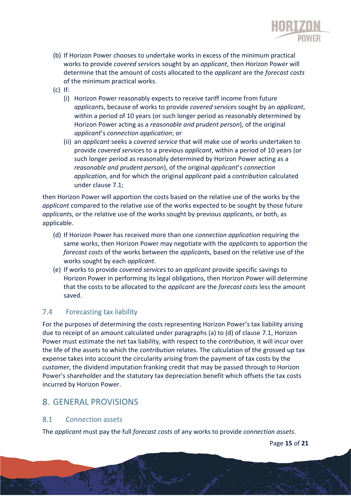

- (b) If Horizon Power chooses to undertake works in excess of the minimum practical works to provide *covered service*s sought by an *applicant*, then Horizon Power will determine that the amount of costs allocated to the *applicant* are the *forecast costs* of the minimum practical works.
- (c) If:
	- (i) Horizon Power reasonably expects to receive tariff income from future *applicant*s, because of works to provide *covered service*s sought by an *applicant*, within a period of 10 years (or such longer period as reasonably determined by Horizon Power acting as a *reasonable and prudent person*), of the original *applicant*'s *connection application*; or
	- (ii) an *applicant* seeks a *covered service* that will make use of works undertaken to provide *covered service*s to a previous *applicant*, within a period of 10 years (or such longer period as reasonably determined by Horizon Power acting as a *reasonable and prudent person*), of the original *applicant*'s *connection application*, and for which the original *applicant* paid a *contribution* calculated under clause 7.1;

then Horizon Power will apportion the costs based on the relative use of the works by the *applicant* compared to the relative use of the works expected to be sought by those future *applicant*s, or the relative use of the works sought by previous *applicant*s, or both, as applicable.

- (d) If Horizon Power has received more than one *connection application* requiring the same works, then Horizon Power may negotiate with the *applicant*s to apportion the *forecast costs* of the works between the *applicant*s, based on the relative use of the works sought by each *applicant*.
- (e) If works to provide *covered service*s to an *applicant* provide specific savings to Horizon Power in performing its legal obligations, then Horizon Power will determine that the costs to be allocated to the *applicant* are the *forecast costs* less the amount saved.

### $7.4$ **Forecasting tax liability**

For the purposes of determining the costs representing Horizon Power's tax liability arising due to receipt of an amount calculated under paragraphs (a) to (d) of clause 7.1, Horizon Power must estimate the net tax liability, with respect to the *contribution*, it will incur over the life of the assets to which the *contribution* relates. The calculation of the grossed up tax expense takes into account the circularity arising from the payment of tax costs by the *customer*, the dividend imputation franking credit that may be passed through to Horizon Power's shareholder and the statutory tax depreciation benefit which offsets the tax costs incurred by Horizon Power.

### GENERAL PROVISIONS

### 8.1 **Connection assets**

The *applicant* must pay the full *forecast costs* of any works to provide *connection assets*.

Page **15** of **21**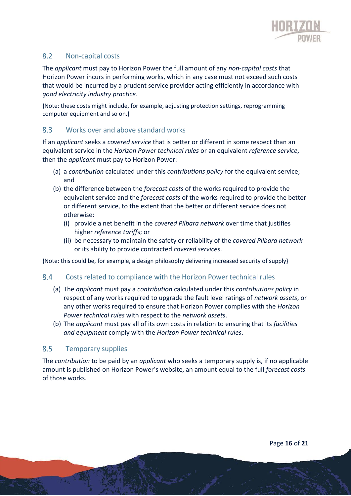

### 8.2 Non-capital costs

The *applicant* must pay to Horizon Power the full amount of any *non-capital costs* that Horizon Power incurs in performing works, which in any case must not exceed such costs that would be incurred by a prudent service provider acting efficiently in accordance with *good electricity industry practice*.

{Note: these costs might include, for example, adjusting protection settings, reprogramming computer equipment and so on.}

#### Works over and above standard works  $8.3$

If an *applicant* seeks a *covered service* that is better or different in some respect than an equivalent service in the *Horizon Power technical rules* or an equivalent *reference service*, then the *applicant* must pay to Horizon Power:

- (a) a *contribution* calculated under this *contributions policy* for the equivalent service; and
- (b) the difference between the *forecast costs* of the works required to provide the equivalent service and the *forecast costs* of the works required to provide the better or different service, to the extent that the better or different service does not otherwise:
	- (i) provide a net benefit in the *covered Pilbara network* over time that justifies higher *reference tariff*s; or
	- (ii) be necessary to maintain the safety or reliability of the *covered Pilbara network* or its ability to provide contracted *covered service*s.

{Note: this could be, for example, a design philosophy delivering increased security of supply}

#### 8.4 Costs related to compliance with the Horizon Power technical rules

- (a) The *applicant* must pay a *contribution* calculated under this *contributions policy* in respect of any works required to upgrade the fault level ratings of *network assets*, or any other works required to ensure that Horizon Power complies with the *Horizon Power technical rules* with respect to the *network assets*.
- (b) The *applicant* must pay all of its own costs in relation to ensuring that its *facilities and equipment* comply with the *Horizon Power technical rules*.

#### 8.5 **Temporary supplies**

The *contribution* to be paid by an *applicant* who seeks a temporary supply is, if no applicable amount is published on Horizon Power's website, an amount equal to the full *forecast costs* of those works.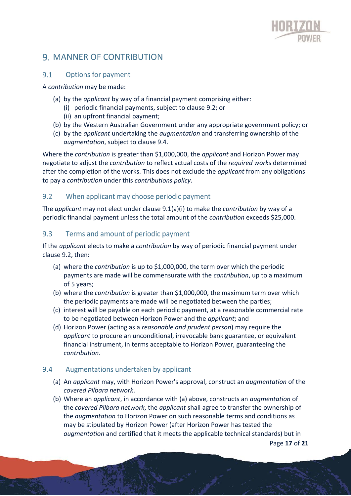

## 9. MANNER OF CONTRIBUTION

#### Options for payment  $9.1$

A *contribution* may be made:

- (a) by the *applicant* by way of a financial payment comprising either:
	- (i) periodic financial payments, subject to clause 9.2; or
	- (ii) an upfront financial payment;
- (b) by the Western Australian Government under any appropriate government policy; or
- (c) by the *applicant* undertaking the *augmentation* and transferring ownership of the *augmentation*, subject to clause 9.4.

Where the *contribution* is greater than \$1,000,000, the *applicant* and Horizon Power may negotiate to adjust the *contribution* to reflect actual costs of the *required work*s determined after the completion of the works. This does not exclude the *applicant* from any obligations to pay a *contribution* under this *contributions policy*.

### $9.2$ When applicant may choose periodic payment

The *applicant* may not elect under clause 9.1(a)(i) to make the *contribution* by way of a periodic financial payment unless the total amount of the *contribution* exceeds \$25,000.

#### $9.3$ Terms and amount of periodic payment

If the *applicant* elects to make a *contribution* by way of periodic financial payment under clause 9.2, then:

- (a) where the *contribution* is up to \$1,000,000, the term over which the periodic payments are made will be commensurate with the *contribution*, up to a maximum of 5 years;
- (b) where the *contribution* is greater than \$1,000,000, the maximum term over which the periodic payments are made will be negotiated between the parties;
- (c) interest will be payable on each periodic payment, at a reasonable commercial rate to be negotiated between Horizon Power and the *applicant*; and
- (d) Horizon Power (acting as a *reasonable and prudent person*) may require the *applicant* to procure an unconditional, irrevocable bank guarantee, or equivalent financial instrument, in terms acceptable to Horizon Power, guaranteeing the *contribution*.

### 9.4 Augmentations undertaken by applicant

- (a) An *applicant* may, with Horizon Power's approval, construct an *augmentation* of the *covered Pilbara network*.
- Page **17** of **21** (b) Where an *applicant*, in accordance with (a) above, constructs an *augmentation* of the *covered Pilbara network*, the *applicant* shall agree to transfer the ownership of the *augmentation* to Horizon Power on such reasonable terms and conditions as may be stipulated by Horizon Power (after Horizon Power has tested the *augmentation* and certified that it meets the applicable technical standards) but in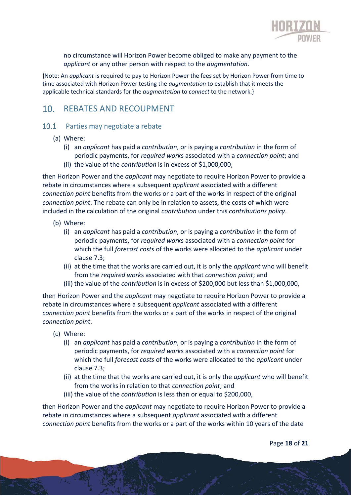

no circumstance will Horizon Power become obliged to make any payment to the *applicant* or any other person with respect to the *augmentation*.

{Note: An *applicant* is required to pay to Horizon Power the fees set by Horizon Power from time to time associated with Horizon Power testing the *augmentation* to establish that it meets the applicable technical standards for the *augmentation* to *connect* to the network.}

### $10<sub>1</sub>$ REBATES AND RECOUPMENT

### 10.1 Parties may negotiate a rebate

- (a) Where:
	- (i) an *applicant* has paid a *contribution*, or is paying a *contribution* in the form of periodic payments, for *required work*s associated with a *connection point*; and
	- (ii) the value of the *contribution* is in excess of \$1,000,000,

then Horizon Power and the *applicant* may negotiate to require Horizon Power to provide a rebate in circumstances where a subsequent *applicant* associated with a different *connection point* benefits from the works or a part of the works in respect of the original *connection point*. The rebate can only be in relation to assets, the costs of which were included in the calculation of the original *contribution* under this *contributions policy*.

- (b) Where:
	- (i) an *applicant* has paid a *contribution*, or is paying a *contribution* in the form of periodic payments, for *required work*s associated with a *connection point* for which the full *forecast costs* of the works were allocated to the *applicant* under clause 7.3;
	- (ii) at the time that the works are carried out, it is only the *applicant* who will benefit from the *required work*s associated with that *connection point*; and
	- (iii) the value of the *contribution* is in excess of \$200,000 but less than \$1,000,000,

then Horizon Power and the *applicant* may negotiate to require Horizon Power to provide a rebate in circumstances where a subsequent *applicant* associated with a different *connection point* benefits from the works or a part of the works in respect of the original *connection point*.

- (c) Where:
	- (i) an *applicant* has paid a *contribution*, or is paying a *contribution* in the form of periodic payments, for *required work*s associated with a *connection point* for which the full *forecast costs* of the works were allocated to the *applicant* under clause 7.3;
	- (ii) at the time that the works are carried out, it is only the *applicant* who will benefit from the works in relation to that *connection point*; and
	- (iii) the value of the *contribution* is less than or equal to \$200,000,

then Horizon Power and the *applicant* may negotiate to require Horizon Power to provide a rebate in circumstances where a subsequent *applicant* associated with a different *connection point* benefits from the works or a part of the works within 10 years of the date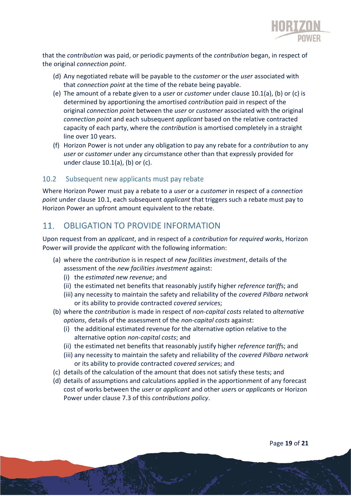

that the *contribution* was paid, or periodic payments of the *contribution* began, in respect of the original *connection point*.

- (d) Any negotiated rebate will be payable to the *customer* or the *user* associated with that *connection point* at the time of the rebate being payable.
- (e) The amount of a rebate given to a *user* or *customer* under clause 10.1(a), (b) or (c) is determined by apportioning the amortised *contribution* paid in respect of the original *connection point* between the *user* or *customer* associated with the original *connection point* and each subsequent *applicant* based on the relative contracted capacity of each party, where the *contribution* is amortised completely in a straight line over 10 years.
- (f) Horizon Power is not under any obligation to pay any rebate for a *contribution* to any *user* or *customer* under any circumstance other than that expressly provided for under clause 10.1(a), (b) or (c).

#### Subsequent new applicants must pay rebate  $10.2$

Where Horizon Power must pay a rebate to a *user* or a *customer* in respect of a *connection point* under clause 10.1, each subsequent *applicant* that triggers such a rebate must pay to Horizon Power an upfront amount equivalent to the rebate.

### OBLIGATION TO PROVIDE INFORMATION  $11.$

Upon request from an *applicant*, and in respect of a *contribution* for *required work*s, Horizon Power will provide the *applicant* with the following information:

- (a) where the *contribution* is in respect of *new facilities investment*, details of the assessment of the *new facilities investment* against:
	- (i) the *estimated new revenue*; and
	- (ii) the estimated net benefits that reasonably justify higher *reference tariff*s; and
	- (iii) any necessity to maintain the safety and reliability of the *covered Pilbara network* or its ability to provide contracted *covered service*s;
- (b) where the *contribution* is made in respect of *non-capital costs* related to *alternative options*, details of the assessment of the *non-capital costs* against:
	- (i) the additional estimated revenue for the alternative option relative to the alternative option *non-capital costs*; and
	- (ii) the estimated net benefits that reasonably justify higher *reference tariff*s; and
	- (iii) any necessity to maintain the safety and reliability of the *covered Pilbara network* or its ability to provide contracted *covered service*s; and
- (c) details of the calculation of the amount that does not satisfy these tests; and
- (d) details of assumptions and calculations applied in the apportionment of any forecast cost of works between the *user* or *applicant* and other *user*s or *applicant*s or Horizon Power under clause 7.3 of this *contributions policy*.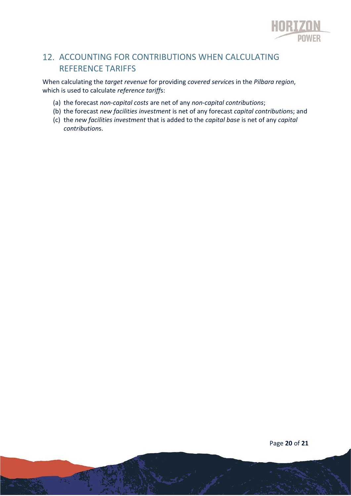

# 12. ACCOUNTING FOR CONTRIBUTIONS WHEN CALCULATING REFERENCE TARIFFS

When calculating the *target revenue* for providing *covered service*s in the *Pilbara region*, which is used to calculate *reference tariff*s:

- (a) the forecast *non-capital costs* are net of any *non-capital contributions*;
- (b) the forecast *new facilities investment* is net of any forecast *capital contribution*s; and
- (c) the *new facilities investment* that is added to the *capital base* is net of any *capital contribution*s.